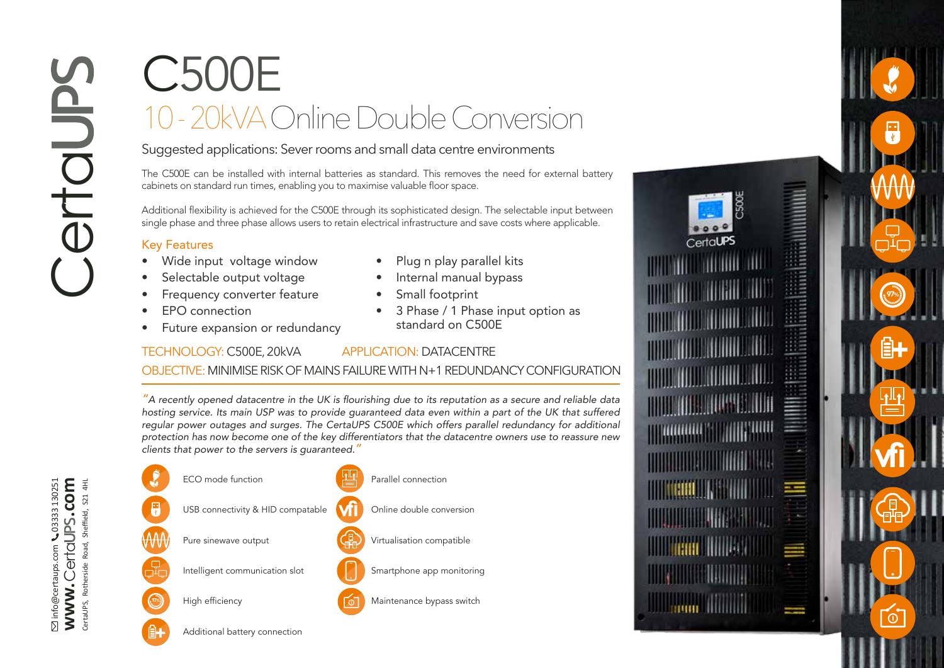## C500E 10 - 20kVA Online Double Conversion

Suggested applications: Sever rooms and small data centre environments

The C500E can be installed with internal batteries as standard. This removes the need for external battery cabinets on standard run times, enabling you to maximise valuable floor space.

Additional flexibility is achieved for the C500E through its sophisticated design. The selectable input between single phase and three phase allows users to retain electrical infrastructure and save costs where applicable.

## Key Features

- Wide input voltage window
- Selectable output voltage
- Frequency converter feature
- 
- EPO connection<br>• Future expansion or redundancy
- Plug n play parallel kits
- Internal manual bypass
- 
- Small footprint 3 Phase / 1 Phase input option as standard on C500E

## TECHNOLOGY: C500E, 20kVA APPLICATION: DATACENTRE

## OBJECTIVE: MINIMISE RISK OF MAINS FAILURE WITH N+1 REDUNDANCY CONFIGURATION

*"*A recently opened datacentre in the UK is flourishing due to its reputation as a secure and reliable data hosting service. Its main USP was to provide guaranteed data even within a part of the UK that suffered regular power outages and surges. The CertaUPS C500E which offers parallel redundancy for additional protection has now become one of the key differentiators that the datacentre owners use to reassure new clients that power to the servers is guaranteed.*"* 





**vfi**

 $\overline{0}$ 

97%